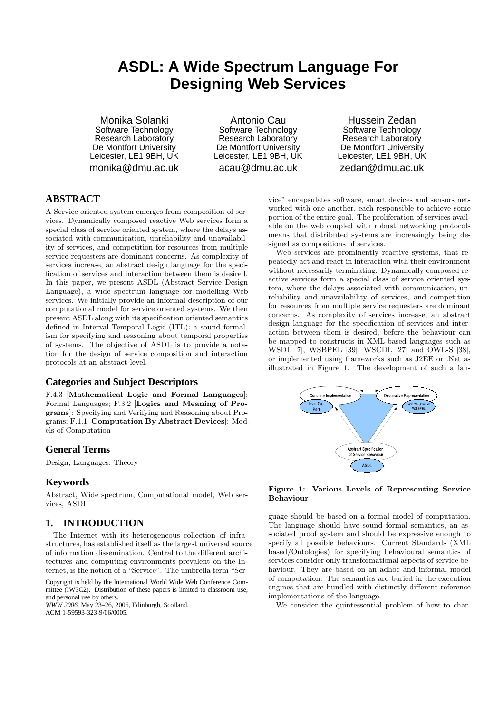# **ASDL: A Wide Spectrum Language For Designing Web Services**

Monika Solanki Software Technology Research Laboratory De Montfort University Leicester, LE1 9BH, UK monika@dmu.ac.uk

Antonio Cau Software Technology Research Laboratory De Montfort University Leicester, LE1 9BH, UK acau@dmu.ac.uk

Hussein Zedan Software Technology Research Laboratory De Montfort University Leicester, LE1 9BH, UK zedan@dmu.ac.uk

# **ABSTRACT**

A Service oriented system emerges from composition of services. Dynamically composed reactive Web services form a special class of service oriented system, where the delays associated with communication, unreliability and unavailability of services, and competition for resources from multiple service requesters are dominant concerns. As complexity of services increase, an abstract design language for the specification of services and interaction between them is desired. In this paper, we present ASDL (Abstract Service Design Language), a wide spectrum language for modelling Web services. We initially provide an informal description of our computational model for service oriented systems. We then present ASDL along with its specification oriented semantics defined in Interval Temporal Logic (ITL): a sound formalism for specifying and reasoning about temporal properties of systems. The objective of ASDL is to provide a notation for the design of service composition and interaction protocols at an abstract level.

### **Categories and Subject Descriptors**

F.4.3 [Mathematical Logic and Formal Languages]: Formal Languages; F.3.2 [Logics and Meaning of Programs]: Specifying and Verifying and Reasoning about Programs; F.1.1 [Computation By Abstract Devices]: Models of Computation

### **General Terms**

Design, Languages, Theory

### **Keywords**

Abstract, Wide spectrum, Computational model, Web services, ASDL

### **1. INTRODUCTION**

The Internet with its heterogeneous collection of infrastructures, has established itself as the largest universal source of information dissemination. Central to the different architectures and computing environments prevalent on the Internet, is the notion of a "Service". The umbrella term "Ser-

Copyright is held by the International World Wide Web Conference Committee (IW3C2). Distribution of these papers is limited to classroom use, and personal use by others.

*WWW 2006*, May 23–26, 2006, Edinburgh, Scotland. ACM 1-59593-323-9/06/0005.

vice" encapsulates software, smart devices and sensors networked with one another, each responsible to achieve some portion of the entire goal. The proliferation of services available on the web coupled with robust networking protocols means that distributed systems are increasingly being designed as compositions of services.

Web services are prominently reactive systems, that repeatedly act and react in interaction with their environment without necessarily terminating. Dynamically composed reactive services form a special class of service oriented system, where the delays associated with communication, unreliability and unavailability of services, and competition for resources from multiple service requesters are dominant concerns. As complexity of services increase, an abstract design language for the specification of services and interaction between them is desired, before the behaviour can be mapped to constructs in XML-based languages such as WSDL [7], WSBPEL [39], WSCDL [27] and OWL-S [38], or implemented using frameworks such as J2EE or .Net as illustrated in Figure 1. The development of such a lan-





guage should be based on a formal model of computation. The language should have sound formal semantics, an associated proof system and should be expressive enough to specify all possible behaviours. Current Standards (XML based/Ontologies) for specifying behavioural semantics of services consider only transformational aspects of service behaviour. They are based on an adhoc and informal model of computation. The semantics are buried in the execution engines that are bundled with distinctly different reference implementations of the language.

We consider the quintessential problem of how to char-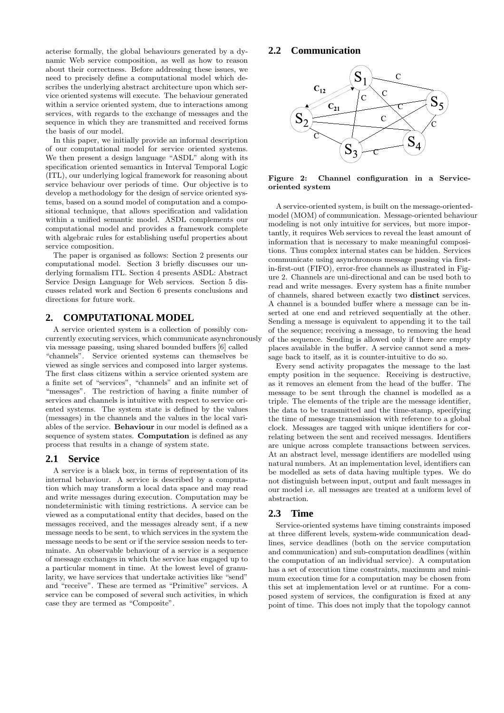acterise formally, the global behaviours generated by a dynamic Web service composition, as well as how to reason about their correctness. Before addressing these issues, we need to precisely define a computational model which describes the underlying abstract architecture upon which service oriented systems will execute. The behaviour generated within a service oriented system, due to interactions among services, with regards to the exchange of messages and the sequence in which they are transmitted and received forms the basis of our model.

In this paper, we initially provide an informal description of our computational model for service oriented systems. We then present a design language "ASDL" along with its specification oriented semantics in Interval Temporal Logic (ITL), our underlying logical framework for reasoning about service behaviour over periods of time. Our objective is to develop a methodology for the design of service oriented systems, based on a sound model of computation and a compositional technique, that allows specification and validation within a unified semantic model. ASDL complements our computational model and provides a framework complete with algebraic rules for establishing useful properties about service composition.

The paper is organised as follows: Section 2 presents our computational model. Section 3 briefly discusses our underlying formalism ITL. Section 4 presents ASDL: Abstract Service Design Language for Web services. Section 5 discusses related work and Section 6 presents conclusions and directions for future work.

### **2. COMPUTATIONAL MODEL**

A service oriented system is a collection of possibly concurrently executing services, which communicate asynchronously via message passing, using shared bounded buffers [6] called "channels". Service oriented systems can themselves be viewed as single services and composed into larger systems. The first class citizens within a service oriented system are a finite set of "services", "channels" and an infinite set of "messages". The restriction of having a finite number of services and channels is intuitive with respect to service oriented systems. The system state is defined by the values (messages) in the channels and the values in the local variables of the service. Behaviour in our model is defined as a sequence of system states. Computation is defined as any process that results in a change of system state.

### **2.1 Service**

A service is a black box, in terms of representation of its internal behaviour. A service is described by a computation which may transform a local data space and may read and write messages during execution. Computation may be nondeterministic with timing restrictions. A service can be viewed as a computational entity that decides, based on the messages received, and the messages already sent, if a new message needs to be sent, to which services in the system the message needs to be sent or if the service session needs to terminate. An observable behaviour of a service is a sequence of message exchanges in which the service has engaged up to a particular moment in time. At the lowest level of granularity, we have services that undertake activities like "send" and "receive". These are termed as "Primitive" services. A service can be composed of several such activities, in which case they are termed as "Composite".

### **2.2 Communication**



Figure 2: Channel configuration in a Serviceoriented system

A service-oriented system, is built on the message-orientedmodel (MOM) of communication. Message-oriented behaviour modeling is not only intuitive for services, but more importantly, it requires Web services to reveal the least amount of information that is necessary to make meaningful compositions. Thus complex internal states can be hidden. Services communicate using asynchronous message passing via firstin-first-out (FIFO), error-free channels as illustrated in Figure 2. Channels are uni-directional and can be used both to read and write messages. Every system has a finite number of channels, shared between exactly two distinct services. A channel is a bounded buffer where a message can be inserted at one end and retrieved sequentially at the other. Sending a message is equivalent to appending it to the tail of the sequence; receiving a message, to removing the head of the sequence. Sending is allowed only if there are empty places available in the buffer. A service cannot send a message back to itself, as it is counter-intuitive to do so.

Every send activity propagates the message to the last empty position in the sequence. Receiving is destructive, as it removes an element from the head of the buffer. The message to be sent through the channel is modelled as a triple. The elements of the triple are the message identifier, the data to be transmitted and the time-stamp, specifying the time of message transmission with reference to a global clock. Messages are tagged with unique identifiers for correlating between the sent and received messages. Identifiers are unique across complete transactions between services. At an abstract level, message identifiers are modelled using natural numbers. At an implementation level, identifiers can be modelled as sets of data having multiple types. We do not distinguish between input, output and fault messages in our model i.e. all messages are treated at a uniform level of abstraction.

### **2.3 Time**

Service-oriented systems have timing constraints imposed at three different levels, system-wide communication deadlines, service deadlines (both on the service computation and communication) and sub-computation deadlines (within the computation of an individual service). A computation has a set of execution time constraints, maximum and minimum execution time for a computation may be chosen from this set at implementation level or at runtime. For a composed system of services, the configuration is fixed at any point of time. This does not imply that the topology cannot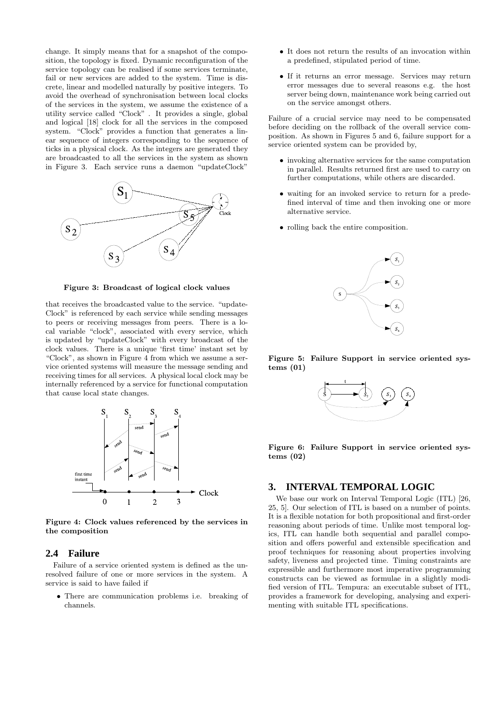change. It simply means that for a snapshot of the composition, the topology is fixed. Dynamic reconfiguration of the service topology can be realised if some services terminate, fail or new services are added to the system. Time is discrete, linear and modelled naturally by positive integers. To avoid the overhead of synchronisation between local clocks of the services in the system, we assume the existence of a utility service called "Clock" . It provides a single, global and logical [18] clock for all the services in the composed system. "Clock" provides a function that generates a linear sequence of integers corresponding to the sequence of ticks in a physical clock. As the integers are generated they are broadcasted to all the services in the system as shown in Figure 3. Each service runs a daemon "updateClock"



Figure 3: Broadcast of logical clock values

that receives the broadcasted value to the service. "update-Clock" is referenced by each service while sending messages to peers or receiving messages from peers. There is a local variable "clock", associated with every service, which is updated by "updateClock" with every broadcast of the clock values. There is a unique 'first time' instant set by "Clock", as shown in Figure 4 from which we assume a service oriented systems will measure the message sending and receiving times for all services. A physical local clock may be internally referenced by a service for functional computation that cause local state changes.



Figure 4: Clock values referenced by the services in the composition

### **2.4 Failure**

Failure of a service oriented system is defined as the unresolved failure of one or more services in the system. A service is said to have failed if

• There are communication problems i.e. breaking of channels.

- It does not return the results of an invocation within a predefined, stipulated period of time.
- If it returns an error message. Services may return error messages due to several reasons e.g. the host server being down, maintenance work being carried out on the service amongst others.

Failure of a crucial service may need to be compensated before deciding on the rollback of the overall service composition. As shown in Figures 5 and 6, failure support for a service oriented system can be provided by,

- invoking alternative services for the same computation in parallel. Results returned first are used to carry on further computations, while others are discarded.
- waiting for an invoked service to return for a predefined interval of time and then invoking one or more alternative service.
- rolling back the entire composition.



Figure 5: Failure Support in service oriented systems (01)



Figure 6: Failure Support in service oriented systems (02)

### **3. INTERVAL TEMPORAL LOGIC**

We base our work on Interval Temporal Logic (ITL) [26, 25, 5]. Our selection of ITL is based on a number of points. It is a flexible notation for both propositional and first-order reasoning about periods of time. Unlike most temporal logics, ITL can handle both sequential and parallel composition and offers powerful and extensible specification and proof techniques for reasoning about properties involving safety, liveness and projected time. Timing constraints are expressible and furthermore most imperative programming constructs can be viewed as formulae in a slightly modified version of ITL. Tempura: an executable subset of ITL, provides a framework for developing, analysing and experimenting with suitable ITL specifications.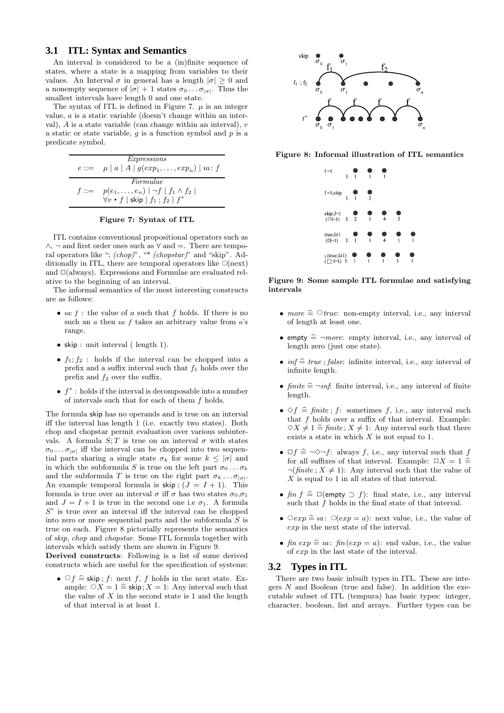### **3.1 ITL: Syntax and Semantics**

An interval is considered to be a (in)finite sequence of states, where a state is a mapping from variables to their values. An Interval  $\sigma$  in general has a length  $|\sigma| \geq 0$  and a nonempty sequence of  $|\sigma| + 1$  states  $\sigma_0 \dots \sigma_{|\sigma|}$ . Thus the smallest intervals have length 0 and one state.

The syntax of ITL is defined in Figure 7.  $\mu$  is an integer value, a is a static variable (doesn't change within an interval),  $A$  is a state variable (can change within an interval),  $v$ a static or state variable,  $q$  is a function symbol and  $p$  is a predicate symbol.

| <i>Expressions</i> |                                                         |  |
|--------------------|---------------------------------------------------------|--|
|                    | $e ::= \mu   a   A   g(exp_1, , exp_n)   ia : f$        |  |
|                    | Formulae                                                |  |
|                    | $f ::= p(e_1, \ldots, e_n)   \neg f   f_1 \wedge f_2  $ |  |
|                    | $\forall v \cdot f \mid$ skip $\mid f_1 : f_2 \mid f^*$ |  |
|                    |                                                         |  |

#### Figure 7: Syntax of ITL

ITL contains conventional propositional operators such as  $\wedge$ ,  $\neg$  and first order ones such as  $\forall$  and  $=$ . There are temporal operators like "; (chop)", "\* (chopstar)" and "skip". Additionally in ITL, there are temporal operators like  $\mathcal{O}(\text{next})$ and  $\Box$ (always). Expressions and Formulae are evaluated relative to the beginning of an interval.

The informal semantics of the most interesting constructs are as follows:

- $ia: f:$  the value of a such that f holds. If there is no such an  $a$  then  $ia: f$  takes an arbitrary value from  $a$ 's range.
- skip : unit interval (length 1).
- $f_1; f_2$ : holds if the interval can be chopped into a prefix and a suffix interval such that  $f_1$  holds over the prefix and  $f_2$  over the suffix.
- $\bullet$   $f^*$ : holds if the interval is decomposable into a number of intervals such that for each of them f holds.

The formula skip has no operands and is true on an interval iff the interval has length 1 (i.e. exactly two states). Both chop and chopstar permit evaluation over various subintervals. A formula  $S$ ; T is true on an interval  $\sigma$  with states  $\sigma_0 \dots \sigma_{|\sigma|}$  iff the interval can be chopped into two sequential parts sharing a single state  $\sigma_k$  for some  $k \leq |\sigma|$  and in which the subformula S is true on the left part  $\sigma_0 \dots \sigma_k$ and the subformula T is true on the right part  $\sigma_k \dots \sigma_{|\sigma|}$ . An example temporal formula is  $\mathsf{skip}$ ;  $(J = I + 1)$ . This formula is true over an interval  $\sigma$  iff  $\sigma$  has two states  $\sigma_0, \sigma_1$ and  $J = I + 1$  is true in the second one i.e  $\sigma_1$ . A formula  $S^*$  is true over an interval iff the interval can be chopped into zero or more sequential parts and the subformula  $S$  is true on each. Figure 8 pictorially represents the semantics of skip, chop and chopstar. Some ITL formula together with intervals which satisfy them are shown in Figure 9.

Derived constructs: Following is a list of some derived constructs which are useful for the specification of systems:

•  $\bigcirc f \triangleq$  skip; f: next f, f holds in the next state. Example:  $\bigcirc X = 1 \oplus \mathsf{skip}; X = 1$ : Any interval such that the value of  $X$  in the second state is 1 and the length of that interval is at least 1.



Figure 8: Informal illustration of ITL semantics



Figure 9: Some sample ITL formulae and satisfying intervals

- more  $\hat{=}$   $\Diamond$  true: non-empty interval, i.e., any interval of length at least one.
- empty  $\hat{=}$  ¬more: empty interval, i.e., any interval of length zero (just one state).
- $inf \nightharpoonup$   $true$ ;  $false$ : infinite interval, i.e., any interval of infinite length.
- finite  $\hat{=}$  ¬inf: finite interval, i.e., any interval of finite length.
- $\Diamond f \triangleq \text{finite }$ ; f: sometimes f, i.e., any interval such that  $f$  holds over a suffix of that interval. Example:  $\Diamond X \neq 1 \cong \text{finite}$ ;  $X \neq 1$ : Any interval such that there exists a state in which  $X$  is not equal to 1.
- $\Box f \triangleq \neg \Diamond \neg f$ : always f, i.e., any interval such that f for all suffixes of that interval. Example:  $\Box X = 1 \stackrel{\triangle}{=}$  $\neg(\text{finite} : X \neq 1)$ : Any interval such that the value of X is equal to 1 in all states of that interval.
- fin  $f \triangleq \Box$ (empty  $\supset f$ ): final state, i.e., any interval such that f holds in the final state of that interval.
- $\bigcirc exp \cong ia: \bigcirc (exp = a):$  next value, i.e., the value of exp in the next state of the interval.
- fin  $exp \,\widehat{=} \, ia:$  fin  $(exp = a):$  end value, i.e., the value of exp in the last state of the interval.

#### **3.2 Types in ITL**

There are two basic inbuilt types in ITL. These are integers  $N$  and Boolean (true and false). In addition the executable subset of ITL (tempura) has basic types: integer, character, boolean, list and arrays. Further types can be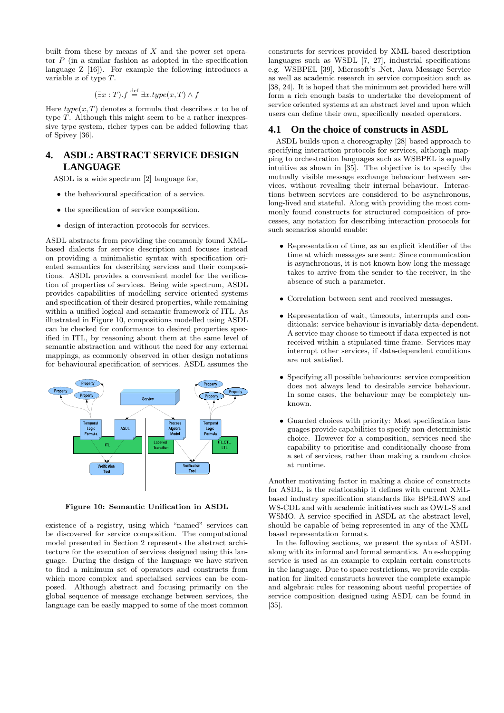built from these by means of  $X$  and the power set operator  $P$  (in a similar fashion as adopted in the specification language Z [16]). For example the following introduces a variable  $x$  of type  $T$ .

$$
(\exists x : T).f \stackrel{\text{def}}{=} \exists x. type(x, T) \wedge f
$$

Here  $type(x,T)$  denotes a formula that describes x to be of type T. Although this might seem to be a rather inexpressive type system, richer types can be added following that of Spivey [36].

# **4. ASDL: ABSTRACT SERVICE DESIGN LANGUAGE**

ASDL is a wide spectrum [2] language for,

- the behavioural specification of a service.
- the specification of service composition.
- design of interaction protocols for services.

ASDL abstracts from providing the commonly found XMLbased dialects for service description and focuses instead on providing a minimalistic syntax with specification oriented semantics for describing services and their compositions. ASDL provides a convenient model for the verification of properties of services. Being wide spectrum, ASDL provides capabilities of modelling service oriented systems and specification of their desired properties, while remaining within a unified logical and semantic framework of ITL. As illustrated in Figure 10, compositions modelled using ASDL can be checked for conformance to desired properties specified in ITL, by reasoning about them at the same level of semantic abstraction and without the need for any external mappings, as commonly observed in other design notations for behavioural specification of services. ASDL assumes the



Figure 10: Semantic Unification in ASDL

existence of a registry, using which "named" services can be discovered for service composition. The computational model presented in Section 2 represents the abstract architecture for the execution of services designed using this language. During the design of the language we have striven to find a minimum set of operators and constructs from which more complex and specialised services can be composed. Although abstract and focusing primarily on the global sequence of message exchange between services, the language can be easily mapped to some of the most common

constructs for services provided by XML-based description languages such as WSDL [7, 27], industrial specifications e.g. WSBPEL [39], Microsoft's .Net, Java Message Service as well as academic research in service composition such as [38, 24]. It is hoped that the minimum set provided here will form a rich enough basis to undertake the development of service oriented systems at an abstract level and upon which users can define their own, specifically needed operators.

### **4.1 On the choice of constructs in ASDL**

ASDL builds upon a choreography [28] based approach to specifying interaction protocols for services, although mapping to orchestration languages such as WSBPEL is equally intuitive as shown in [35]. The objective is to specify the mutually visible message exchange behaviour between services, without revealing their internal behaviour. Interactions between services are considered to be asynchronous, long-lived and stateful. Along with providing the most commonly found constructs for structured composition of processes, any notation for describing interaction protocols for such scenarios should enable:

- Representation of time, as an explicit identifier of the time at which messages are sent: Since communication is asynchronous, it is not known how long the message takes to arrive from the sender to the receiver, in the absence of such a parameter.
- Correlation between sent and received messages.
- Representation of wait, timeouts, interrupts and conditionals: service behaviour is invariably data-dependent. A service may choose to timeout if data expected is not received within a stipulated time frame. Services may interrupt other services, if data-dependent conditions are not satisfied.
- Specifying all possible behaviours: service composition does not always lead to desirable service behaviour. In some cases, the behaviour may be completely unknown.
- Guarded choices with priority: Most specification languages provide capabilities to specify non-deterministic choice. However for a composition, services need the capability to prioritise and conditionally choose from a set of services, rather than making a random choice at runtime.

Another motivating factor in making a choice of constructs for ASDL, is the relationship it defines with current XMLbased industry specification standards like BPEL4WS and WS-CDL and with academic initiatives such as OWL-S and WSMO. A service specified in ASDL at the abstract level, should be capable of being represented in any of the XMLbased representation formats.

In the following sections, we present the syntax of ASDL along with its informal and formal semantics. An e-shopping service is used as an example to explain certain constructs in the language. Due to space restrictions, we provide explanation for limited constructs however the complete example and algebraic rules for reasoning about useful properties of service composition designed using ASDL can be found in [35].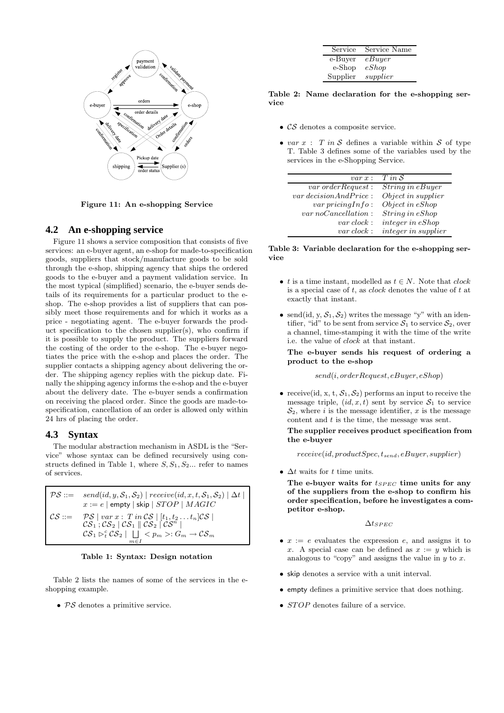

Figure 11: An e-shopping Service

### **4.2 An e-shopping service**

Figure 11 shows a service composition that consists of five services: an e-buyer agent, an e-shop for made-to-specification goods, suppliers that stock/manufacture goods to be sold through the e-shop, shipping agency that ships the ordered goods to the e-buyer and a payment validation service. In the most typical (simplified) scenario, the e-buyer sends details of its requirements for a particular product to the eshop. The e-shop provides a list of suppliers that can possibly meet those requirements and for which it works as a price - negotiating agent. The e-buyer forwards the product specification to the chosen supplier(s), who confirm if it is possible to supply the product. The suppliers forward the costing of the order to the e-shop. The e-buyer negotiates the price with the e-shop and places the order. The supplier contacts a shipping agency about delivering the order. The shipping agency replies with the pickup date. Finally the shipping agency informs the e-shop and the e-buyer about the delivery date. The e-buyer sends a confirmation on receiving the placed order. Since the goods are made-tospecification, cancellation of an order is allowed only within 24 hrs of placing the order.

### **4.3 Syntax**

The modular abstraction mechanism in ASDL is the "Service" whose syntax can be defined recursively using constructs defined in Table 1, where  $S, S_1, S_2...$  refer to names of services.

| $\mathcal{PS} ::= \text{ send}(id, y, \mathcal{S}_1, \mathcal{S}_2)   \text{receive}(id, x, t, \mathcal{S}_1, \mathcal{S}_2)   \Delta t  $<br>$x := e  $ empty   skip   $STOP  $ $MAGIC$                                                                                                                                                                                                |
|-----------------------------------------------------------------------------------------------------------------------------------------------------------------------------------------------------------------------------------------------------------------------------------------------------------------------------------------------------------------------------------------|
| $\mathcal{CS} ::= \begin{array}{cc} \mathcal{PS} & var \; x : T \; in \; \mathcal{CS} \mid [t_1, t_2 \dots t_n] \mathcal{CS} \mid \\ \mathcal{CS}_1 \; ; \mathcal{CS}_2 \mid \mathcal{CS}_1 \parallel \mathcal{CS}_2 \mid \mathcal{CS}^n \mid \end{array}$<br>$\mathcal{CS}_1 \triangleright_t^c \mathcal{CS}_2 \vert \vert \vert < p_m >: G_m \rightarrow \mathcal{CS}_m$<br>$m \in I$ |



Table 2 lists the names of some of the services in the eshopping example.

•  $PS$  denotes a primitive service.

| Service  | Service Name |
|----------|--------------|
| e-Buver  | eBuyer       |
| e-Shop   | eShop        |
| Supplier | supplier     |
|          |              |

Table 2: Name declaration for the e-shopping service

- CS denotes a composite service.
- var  $x$ : T in S defines a variable within S of type T. Table 3 defines some of the variables used by the services in the e-Shopping Service.

| $var x$ :                 | $T$ in $S$                 |
|---------------------------|----------------------------|
| $var\,orderRequest$ :     | <i>String in eBuyer</i>    |
| $var\, decisionAndPrice:$ | Object in supplier         |
| $var\, pricingInfo:$      | $Object\ in\ eShop$        |
| $var\,noCancellation:$    | <i>String in eShop</i>     |
| var clock:                | <i>integer in eShop</i>    |
| $var \, clock :$          | <i>integer in supplier</i> |

#### Table 3: Variable declaration for the e-shopping service

- t is a time instant, modelled as  $t \in N$ . Note that *clock* is a special case of  $t$ , as *clock* denotes the value of  $t$  at exactly that instant.
- send(id, y,  $S_1$ ,  $S_2$ ) writes the message "y" with an identifier, "id" to be sent from service  $S_1$  to service  $S_2$ , over a channel, time-stamping it with the time of the write i.e. the value of clock at that instant.

The e-buyer sends his request of ordering a product to the e-shop

 $send(i, orderRequest, eBuyer, eShop)$ 

• receive(id, x, t,  $S_1, S_2$ ) performs an input to receive the message triple,  $(id, x, t)$  sent by service  $S_1$  to service  $\mathcal{S}_2$ , where *i* is the message identifier, *x* is the message content and  $t$  is the time, the message was sent.

The supplier receives product specification from the e-buyer

 $receive(id, productSpec, t_{send}, eBuyer, supplier)$ 

•  $\Delta t$  waits for t time units.

The e-buyer waits for  $t_{SPEC}$  time units for any of the suppliers from the e-shop to confirm his order specification, before he investigates a competitor e-shop.

- $\Delta t_{SPEC}$
- $x := e$  evaluates the expression e, and assigns it to x. A special case can be defined as  $x := y$  which is analogous to "copy" and assigns the value in  $y$  to  $x$ .
- skip denotes a service with a unit interval.
- empty defines a primitive service that does nothing.
- *STOP* denotes failure of a service.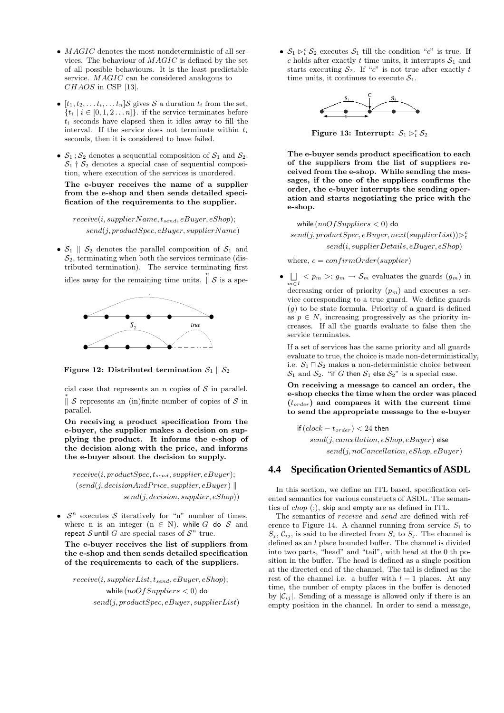- $MAGIC$  denotes the most nondeterministic of all services. The behaviour of MAGIC is defined by the set of all possible behaviours. It is the least predictable service. MAGIC can be considered analogous to CHAOS in CSP [13].
- $[t_1, t_2, \ldots t_i, \ldots t_n]$ S gives S a duration  $t_i$  from the set,  $\{t_i \mid i \in [0, 1, 2 \ldots n]\}.$  if the service terminates before  $t_i$  seconds have elapsed then it idles away to fill the interval. If the service does not terminate within  $t_i$ seconds, then it is considered to have failed.
- $S_1$ ;  $S_2$  denotes a sequential composition of  $S_1$  and  $S_2$ .  $S_1$  †  $S_2$  denotes a special case of sequential composition, where execution of the services is unordered. The e-buyer receives the name of a supplier from the e-shop and then sends detailed specification of the requirements to the supplier.

 $receive(i, supplierName, t_{send}, eBuyer, eShop);$  $send(i, productSpec, eBuuer, supplierName)$ 

•  $S_1 \parallel S_2$  denotes the parallel composition of  $S_1$  and  $S_2$ , terminating when both the services terminate (distributed termination). The service terminating first idles away for the remaining time units.  $\parallel$  *S* is a spe-



Figure 12: Distributed termination  $S_1 \parallel S_2$ 

cial case that represents an n copies of  $S$  in parallel.

 $\parallel$  S represents an (in)finite number of copies of S in parallel.

On receiving a product specification from the e-buyer, the supplier makes a decision on supplying the product. It informs the e-shop of the decision along with the price, and informs the e-buyer about the decision to supply.

 $receive(i, productSpec, t_{send}, supplier, eBuyer);$  $(send(j, decisionAndPrice, supplier, eBuyer)$  $send(j, decision, supplier, eShop))$ 

•  $S<sup>n</sup>$  executes S iteratively for "n" number of times, where n is an integer ( $n \in N$ ). while G do S and repeat S until G are special cases of  $S<sup>n</sup>$  true.

The e-buyer receives the list of suppliers from the e-shop and then sends detailed specification of the requirements to each of the suppliers.

$$
receive(i, supplierList, t_{send}, eBuyer, eShop);
$$
  
while 
$$
(noOfSuppliers < 0) do
$$
  

$$
send(j, productSpec, eBuyer, supplierList)
$$

•  $S_1 \triangleright_t^c S_2$  executes  $S_1$  till the condition "c" is true. If c holds after exactly t time units, it interrupts  $S_1$  and starts executing  $S_2$ . If "c" is not true after exactly t time units, it continues to execute  $S_1$ .



Figure 13: Interrupt:  $S_1 \rhd^c_t S_2$ 

The e-buyer sends product specification to each of the suppliers from the list of suppliers received from the e-shop. While sending the messages, if the one of the suppliers confirms the order, the e-buyer interrupts the sending operation and starts negotiating the price with the e-shop.

$$
\begin{aligned} \text{while } (noOfSuppliers < 0) \text{ do} \\ send(j, productSpec, eBuyer, next(supplierList)) & \triangleright_t^c \\ send(i, supplierDetails, eBuyer, eShop) \end{aligned}
$$

where,  $c = \text{confirmOrder}(\text{supplier})$ 

•  $\overline{\mathsf{F}}$  $\bigsqcup_{m\in I} < p_m >: g_m \to \mathcal{S}_m$  evaluates the guards  $(g_m)$  in decreasing order of priority  $(p_m)$  and executes a service corresponding to a true guard. We define guards  $(g)$  to be state formula. Priority of a guard is defined as  $p \in N$ , increasing progressively as the priority increases. If all the guards evaluate to false then the service terminates.

If a set of services has the same priority and all guards evaluate to true, the choice is made non-deterministically, i.e.  $S_1 \sqcap S_2$  makes a non-deterministic choice between  $S_1$  and  $S_2$ . "if G then  $S_1$  else  $S_2$ " is a special case.

On receiving a message to cancel an order, the e-shop checks the time when the order was placed  $(t_{order})$  and compares it with the current time to send the appropriate message to the e-buyer

if  $(clock - t_{order}) < 24$  then  $send(i, cancellation, eShop, eBuyer)$  else  $send(i, noCancellation, eShon, eBuwer)$ 

# **4.4 Specification Oriented Semantics of ASDL**

In this section, we define an ITL based, specification oriented semantics for various constructs of ASDL. The semantics of  $chop$  (;), skip and empty are as defined in ITL.

The semantics of receive and send are defined with reference to Figure 14. A channel running from service  $S_i$  to  $S_i, C_{ij}$ , is said to be directed from  $S_i$  to  $S_j$ . The channel is defined as an  $l$  place bounded buffer. The channel is divided into two parts, "head" and "tail", with head at the 0 th position in the buffer. The head is defined as a single position at the directed end of the channel. The tail is defined as the rest of the channel i.e. a buffer with  $l-1$  places. At any time, the number of empty places in the buffer is denoted by  $|\mathcal{C}_{ij}|$ . Sending of a message is allowed only if there is an empty position in the channel. In order to send a message,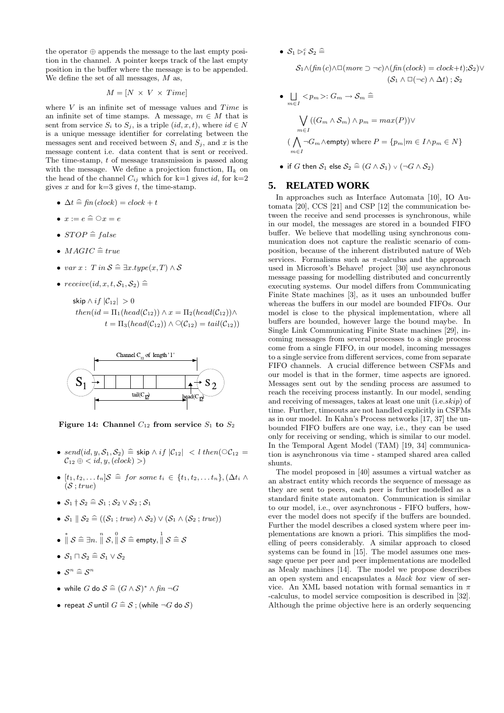the operator ⊕ appends the message to the last empty position in the channel. A pointer keeps track of the last empty position in the buffer where the message is to be appended. We define the set of all messages, M as,

$$
M = [N \times V \times Time]
$$

where  $V$  is an infinite set of message values and  $Time$  is an infinite set of time stamps. A message,  $m \in M$  that is sent from service  $S_i$  to  $S_j$ , is a triple  $(id, x, t)$ , where  $id \in N$ is a unique message identifier for correlating between the messages sent and received between  $S_i$  and  $S_j$ , and x is the message content i.e. data content that is sent or received. The time-stamp, t of message transmission is passed along with the message. We define a projection function,  $\Pi_k$  on the head of the channel  $C_{ij}$  which for k=1 gives id, for k=2 gives x and for  $k=3$  gives t, the time-stamp.

- $\Delta t \triangleq \text{fin} (clock) = clock + t$
- $x := e \; \widehat{=} \; \bigcirc x = e$
- $STOP \hat{=} false$
- $MAGIC \cong true$
- var  $x: T$  in  $S \cong \exists x. true(x,T) \wedge S$
- $receive(id, x, t, \mathcal{S}_1, \mathcal{S}_2) \triangleq$

skip  $\wedge$  if  $|\mathcal{C}_{12}| > 0$ then(id =  $\Pi_1(head(C_{12})) \wedge x = \Pi_2(head(C_{12})) \wedge$  $t = \Pi_3(head(C_{12})) \wedge \bigcirc(C_{12}) = tail(C_{12})$ 



Figure 14: Channel  $C_{12}$  from service  $S_1$  to  $S_2$ 

- $send(id, y, S_1, S_2)$   $\cong$  skip  $\wedge if$   $|C_{12}|$   $\lt$   $l$  then( $\odot C_{12}$  =  $C_{12} \oplus \langle id, y, (clock) \rangle$
- $[t_1, t_2, \ldots t_n]$  $S \triangleq for some t_i \in \{t_1, t_2, \ldots t_n\}, (\Delta t_i \wedge$  $(S$ ; true)
- $S_1$  †  $S_2 \cong S_1$  ;  $S_2 \vee S_2$  ;  $S_1$
- $S_1 \parallel S_2 \triangleq ((S_1 ; true) \wedge S_2) \vee (S_1 \wedge (S_2 ; true))$
- $\bullet \stackrel{*}{\parallel} \mathcal{S} \cong \exists n. \stackrel{n}{\parallel} \mathcal{S}, \stackrel{0}{\parallel} \mathcal{S} \cong \mathsf{empty}, \stackrel{1}{\parallel} \mathcal{S} \cong \mathcal{S}$
- $S_1 \sqcap S_2 \cong S_1 \vee S_2$
- $S^n \triangleq S^n$
- while G do  $S \triangleq (G \wedge S)^* \wedge fin \neg G$
- repeat S until  $G \triangleq S$ ; (while  $\neg G$  do S)

•  $S_1 \triangleright_t^c S_2 \widehat{=}$ 

 $S_1 \wedge (fin(c) \wedge \Box (more \supset \neg c) \wedge (fin(clock) = clock+t); S_2) \vee$  $(\mathcal{S}_1 \wedge \Box(\neg c) \wedge \Delta t)$ ;  $\mathcal{S}_2$ 

\n- \n
$$
\bigcup_{m \in I} < p_m > : G_m \to S_m \cong
$$
\n
$$
\bigvee_{m \in I} ((G_m \land S_m) \land p_m = \max(P)) \lor
$$
\n
$$
(\bigwedge_{m \in I} \neg G_m \land \text{empty}) \text{ where } P = \{p_m | m \in I \land p_m \in N\}
$$
\n
\n

• if G then  $S_1$  else  $S_2 \triangleq (G \wedge S_1) \vee (\neg G \wedge S_2)$ 

## **5. RELATED WORK**

In approaches such as Interface Automata [10], IO Automata [20], CCS [21] and CSP [12] the communication between the receive and send processes is synchronous, while in our model, the messages are stored in a bounded FIFO buffer. We believe that modelling using synchronous communication does not capture the realistic scenario of composition, because of the inherent distributed nature of Web services. Formalisms such as  $\pi$ -calculus and the approach used in Microsoft's Behave! project [30] use asynchronous message passing for modelling distributed and concurrently executing systems. Our model differs from Communicating Finite State machines [3], as it uses an unbounded buffer whereas the buffers in our model are bounded FIFOs. Our model is close to the physical implementation, where all buffers are bounded, however large the bound maybe. In Single Link Communicating Finite State machines [29], incoming messages from several processes to a single process come from a single FIFO, in our model, incoming messages to a single service from different services, come from separate FIFO channels. A crucial difference between CSFMs and our model is that in the former, time aspects are ignored. Messages sent out by the sending process are assumed to reach the receiving process instantly. In our model, sending and receiving of messages, takes at least one unit (i.e.skip) of time. Further, timeouts are not handled explicitly in CSFMs as in our model. In Kahn's Process networks [17, 37] the unbounded FIFO buffers are one way, i.e., they can be used only for receiving or sending, which is similar to our model. In the Temporal Agent Model (TAM) [19, 34] communication is asynchronous via time - stamped shared area called shunts.

The model proposed in [40] assumes a virtual watcher as an abstract entity which records the sequence of message as they are sent to peers, each peer is further modelled as a standard finite state automaton. Communication is similar to our model, i.e., over asynchronous - FIFO buffers, however the model does not specify if the buffers are bounded. Further the model describes a closed system where peer implementations are known a priori. This simplifies the modelling of peers considerably. A similar approach to closed systems can be found in [15]. The model assumes one message queue per peer and peer implementations are modelled as Mealy machines [14]. The model we propose describes an open system and encapsulates a black box view of service. An XML based notation with formal semantics in  $\pi$ -calculus, to model service composition is described in [32]. Although the prime objective here is an orderly sequencing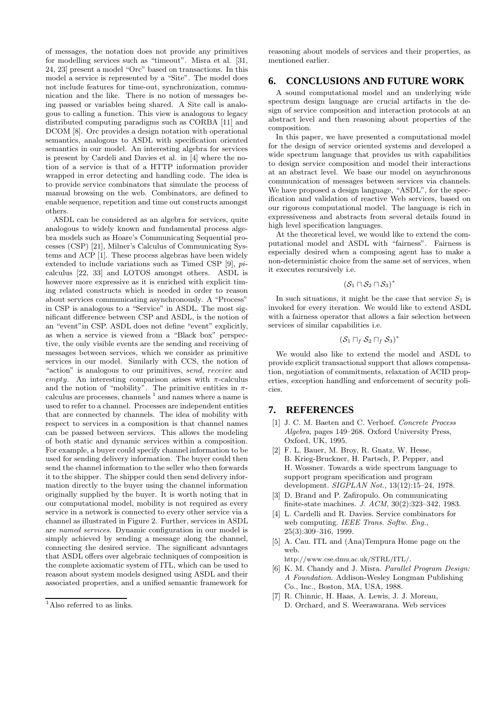of messages, the notation does not provide any primitives for modelling services such as "timeout". Misra et al. [31, 24, 23] present a model "Orc" based on transactions. In this model a service is represented by a "Site". The model does not include features for time-out, synchronization, communication and the like. There is no notion of messages being passed or variables being shared. A Site call is analogous to calling a function. This view is analogous to legacy distributed computing paradigms such as CORBA [11] and DCOM [8]. Orc provides a design notation with operational semantics, analogous to ASDL with specification oriented semantics in our model. An interesting algebra for services is present by Cardeli and Davies et al. in [4] where the notion of a service is that of a HTTP information provider wrapped in error detecting and handling code. The idea is to provide service combinators that simulate the process of manual browsing on the web. Combinators, are defined to enable sequence, repetition and time out constructs amongst others.

ASDL can be considered as an algebra for services, quite analogous to widely known and fundamental process algebra models such as Hoare's Communicating Sequential processes (CSP) [21], Milner's Calculus of Communicating Systems and ACP [1]. These process algebras have been widely extended to include variations such as Timed CSP [9], picalculus [22, 33] and LOTOS amongst others. ASDL is however more expressive as it is enriched with explicit timing related constructs which is needed in order to reason about services communicating asynchronously. A "Process" in CSP is analogous to a "Service" in ASDL. The most significant difference between CSP and ASDL, is the notion of an "event"in CSP. ASDL does not define "event" explicitly, as when a service is viewed from a "Black box" perspective, the only visible events are the sending and receiving of messages between services, which we consider as primitive services in our model. Similarly with CCS, the notion of "action" is analogous to our primitives, send, receive and empty. An interesting comparison arises with  $\pi$ -calculus and the notion of "mobility". The primitive entities in  $\pi$ calculus are processes, channels  $\frac{1}{1}$  and names where a name is used to refer to a channel. Processes are independent entities that are connected by channels. The idea of mobility with respect to services in a composition is that channel names can be passed between services. This allows the modeling of both static and dynamic services within a composition. For example, a buyer could specify channel information to be used for sending delivery information. The buyer could then send the channel information to the seller who then forwards it to the shipper. The shipper could then send delivery information directly to the buyer using the channel information originally supplied by the buyer. It is worth noting that in our computational model, mobility is not required as every service in a network is connected to every other service via a channel as illustrated in Figure 2. Further, services in ASDL are named services. Dynamic configuration in our model is simply achieved by sending a message along the channel, connecting the desired service. The significant advantages that ASDL offers over algebraic techniques of composition is the complete axiomatic system of ITL, which can be used to reason about system models designed using ASDL and their associated properties, and a unified semantic framework for

reasoning about models of services and their properties, as mentioned earlier.

### **6. CONCLUSIONS AND FUTURE WORK**

A sound computational model and an underlying wide spectrum design language are crucial artifacts in the design of service composition and interaction protocols at an abstract level and then reasoning about properties of the composition.

In this paper, we have presented a computational model for the design of service oriented systems and developed a wide spectrum language that provides us with capabilities to design service composition and model their interactions at an abstract level. We base our model on asynchronous communication of messages between services via channels. We have proposed a design language, "ASDL", for the specification and validation of reactive Web services, based on our rigorous computational model. The language is rich in expressiveness and abstracts from several details found in high level specification languages.

At the theoretical level, we would like to extend the computational model and ASDL with "fairness". Fairness is especially desired when a composing agent has to make a non-deterministic choice from the same set of services, when it executes recursively i.e.

$$
(\mathcal{S}_1 \sqcap \mathcal{S}_2 \sqcap \mathcal{S}_3)^*
$$

In such situations, it might be the case that service  $S_1$  is invoked for every iteration. We would like to extend ASDL with a fairness operator that allows a fair selection between services of similar capabilities i.e.

 $(\mathcal{S}_1 \sqcap_f \mathcal{S}_2 \sqcap_f \mathcal{S}_3)^*$ 

We would also like to extend the model and ASDL to provide explicit transactional support that allows compensation, negotiation of commitments, relaxation of ACID properties, exception handling and enforcement of security policies.

### **7. REFERENCES**

- [1] J. C. M. Baeten and C. Verhoef. Concrete Process Algebra, pages 149–268. Oxford University Press, Oxford, UK, 1995.
- [2] F. L. Bauer, M. Broy, R. Gnatz, W. Hesse, B. Krieg-Bruckner, H. Partsch, P. Pepper, and H. Wossner. Towards a wide spectrum language to support program specification and program development. SIGPLAN Not., 13(12):15–24, 1978.
- [3] D. Brand and P. Zafiropulo. On communicating finite-state machines. J. ACM, 30(2):323–342, 1983.
- [4] L. Cardelli and R. Davies. Service combinators for web computing. IEEE Trans. Softw. Eng., 25(3):309–316, 1999.
- [5] A. Cau. ITL and (Ana)Tempura Home page on the web. http://www.cse.dmu.ac.uk/STRL/ITL/.
- [6] K. M. Chandy and J. Misra. Parallel Program Design: A Foundation. Addison-Wesley Longman Publishing Co., Inc., Boston, MA, USA, 1988.
- [7] R. Chinnic, H. Haas, A. Lewis, J. J. Moreau, D. Orchard, and S. Weerawarana. Web services

<sup>&</sup>lt;sup>1</sup>Also referred to as links.